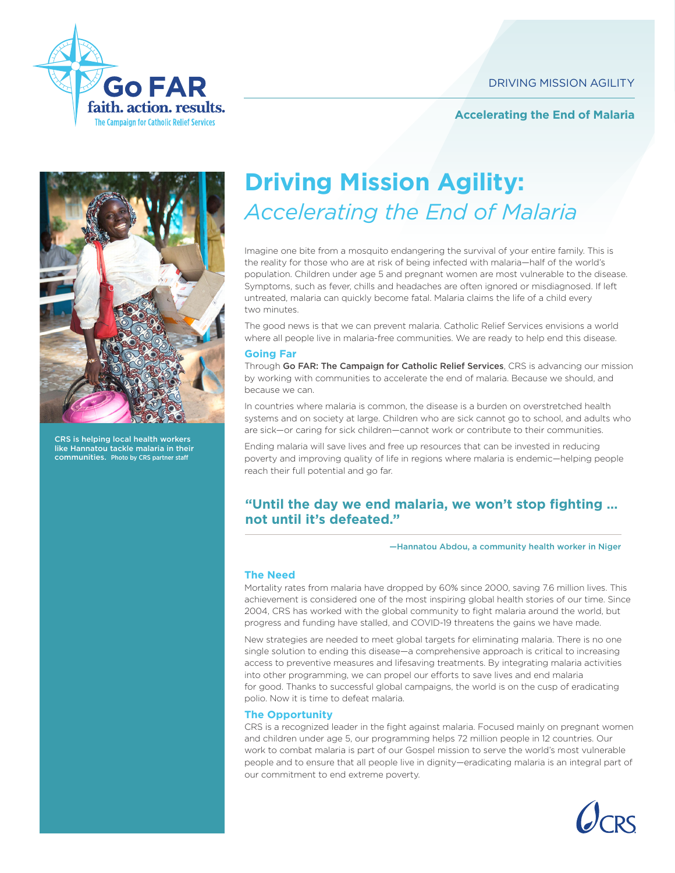

### **Accelerating the End of Malaria**



CRS is helping local health workers like Hannatou tackle malaria in their communities. Photo by CRS partner staff

# **Driving Mission Agility:**  *Accelerating the End of Malaria*

Imagine one bite from a mosquito endangering the survival of your entire family. This is the reality for those who are at risk of being infected with malaria—half of the world's population. Children under age 5 and pregnant women are most vulnerable to the disease. Symptoms, such as fever, chills and headaches are often ignored or misdiagnosed. If left untreated, malaria can quickly become fatal. Malaria claims the life of a child every two minutes.

The good news is that we can prevent malaria. Catholic Relief Services envisions a world where all people live in malaria-free communities. We are ready to help end this disease.

#### **Going Far**

Through Go FAR: The Campaign for Catholic Relief Services, CRS is advancing our mission by working with communities to accelerate the end of malaria. Because we should, and because we can.

In countries where malaria is common, the disease is a burden on overstretched health systems and on society at large. Children who are sick cannot go to school, and adults who are sick—or caring for sick children—cannot work or contribute to their communities.

Ending malaria will save lives and free up resources that can be invested in reducing poverty and improving quality of life in regions where malaria is endemic—helping people reach their full potential and go far.

## **"Until the day we end malaria, we won't stop fighting … not until it's defeated."**

—Hannatou Abdou, a community health worker in Niger

#### **The Need**

Mortality rates from malaria have dropped by 60% since 2000, saving 7.6 million lives. This achievement is considered one of the most inspiring global health stories of our time. Since 2004, CRS has worked with the global community to fight malaria around the world, but progress and funding have stalled, and COVID-19 threatens the gains we have made.

New strategies are needed to meet global targets for eliminating malaria. There is no one single solution to ending this disease—a comprehensive approach is critical to increasing access to preventive measures and lifesaving treatments. By integrating malaria activities into other programming, we can propel our efforts to save lives and end malaria for good. Thanks to successful global campaigns, the world is on the cusp of eradicating polio. Now it is time to defeat malaria.

#### **The Opportunity**

CRS is a recognized leader in the fight against malaria. Focused mainly on pregnant women and children under age 5, our programming helps 72 million people in 12 countries. Our work to combat malaria is part of our Gospel mission to serve the world's most vulnerable people and to ensure that all people live in dignity—eradicating malaria is an integral part of our commitment to end extreme poverty.